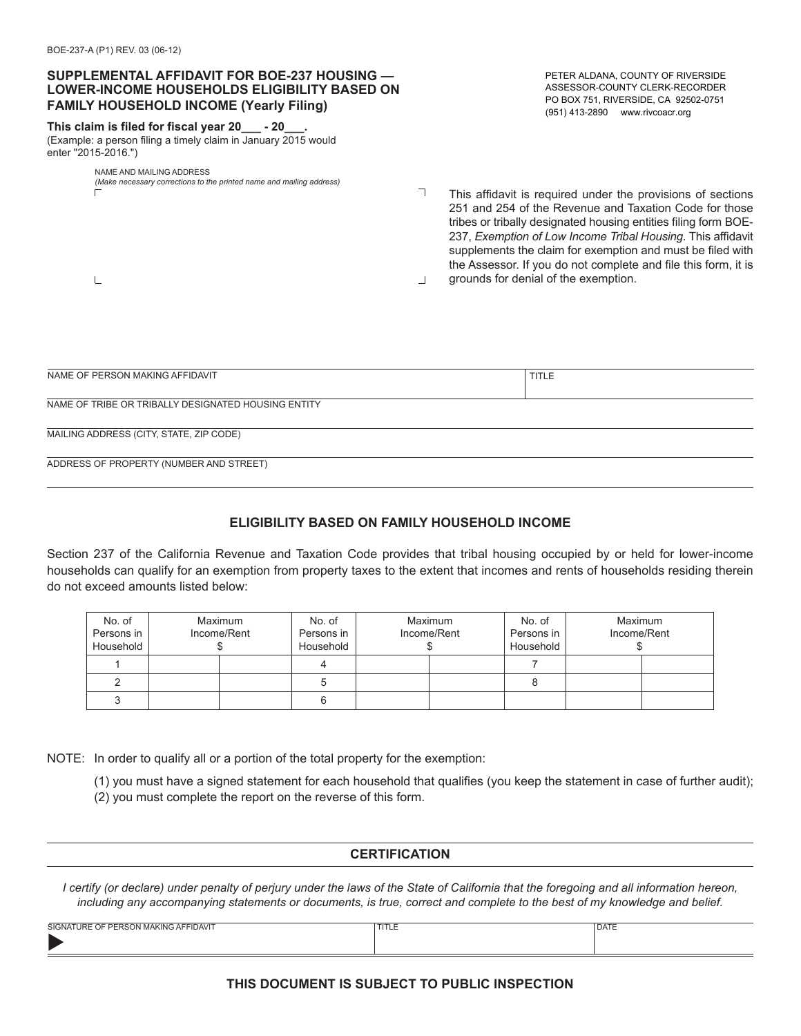$\mathbf{L}$ 

## **SUPPLEMENTAL AFFIDAVIT FOR BOE-237 HOUSING — LOWER-INCOME HOUSEHOLDS ELIGIBILITY BASED ON FAMILY HOUSEHOLD INCOME (Yearly Filing)**

#### **This claim is filed for fiscal year 20\_\_\_ - 20\_\_\_.**

(Example: a person filing a timely claim in January 2015 would enter "2015-2016.")

#### NAME AND MAILING ADDRESS *(Make necessary corrections to the printed name and mailing address)*

PETER ALDANA, COUNTY OF RIVERSIDE ASSESSOR-COUNTY CLERK-RECORDER PO BOX 751, RIVERSIDE, CA 92502-0751 (951) 413-2890 www.rivcoacr.org

 $\top$ This affidavit is required under the provisions of sections 251 and 254 of the Revenue and Taxation Code for those tribes or tribally designated housing entities filing form BOE-237, *Exemption of Low Income Tribal Housing*. This affidavit supplements the claim for exemption and must be filed with the Assessor. If you do not complete and file this form, it is grounds for denial of the exemption.  $\overline{\phantom{a}}$ 

| NAME OF PERSON MAKING AFFIDAVIT                     | TITLE |  |  |  |
|-----------------------------------------------------|-------|--|--|--|
|                                                     |       |  |  |  |
| NAME OF TRIBE OR TRIBALLY DESIGNATED HOUSING ENTITY |       |  |  |  |
|                                                     |       |  |  |  |
| MAILING ADDRESS (CITY, STATE, ZIP CODE)             |       |  |  |  |
|                                                     |       |  |  |  |
| ADDRESS OF PROPERTY (NUMBER AND STREET)             |       |  |  |  |

# **ELIGIBILITY BASED ON FAMILY HOUSEHOLD INCOME**

Section 237 of the California Revenue and Taxation Code provides that tribal housing occupied by or held for lower-income households can qualify for an exemption from property taxes to the extent that incomes and rents of households residing therein do not exceed amounts listed below:

| No. of<br>Persons in<br>Household | Maximum<br>Income/Rent | No. of<br>Persons in<br>Household | Maximum<br>Income/Rent | No. of<br>Persons in<br>Household | Maximum | Income/Rent |
|-----------------------------------|------------------------|-----------------------------------|------------------------|-----------------------------------|---------|-------------|
|                                   |                        |                                   |                        |                                   |         |             |
|                                   |                        |                                   |                        |                                   |         |             |
|                                   |                        |                                   |                        |                                   |         |             |

NOTE: In order to qualify all or a portion of the total property for the exemption:

(1) you must have a signed statement for each household that qualifies (you keep the statement in case of further audit);

(2) you must complete the report on the reverse of this form.

### **CERTIFICATION**

*I certify (or declare) under penalty of perjury under the laws of the State of California that the foregoing and all information hereon, including any accompanying statements or documents, is true, correct and complete to the best of my knowledge and belief.*

| <b>TURE OF PERSON MAKING AFFIDAVIT</b><br><b>SIGNATU</b> | $-1$<br>---- | <b>DATE</b> |
|----------------------------------------------------------|--------------|-------------|
|                                                          |              |             |
|                                                          |              |             |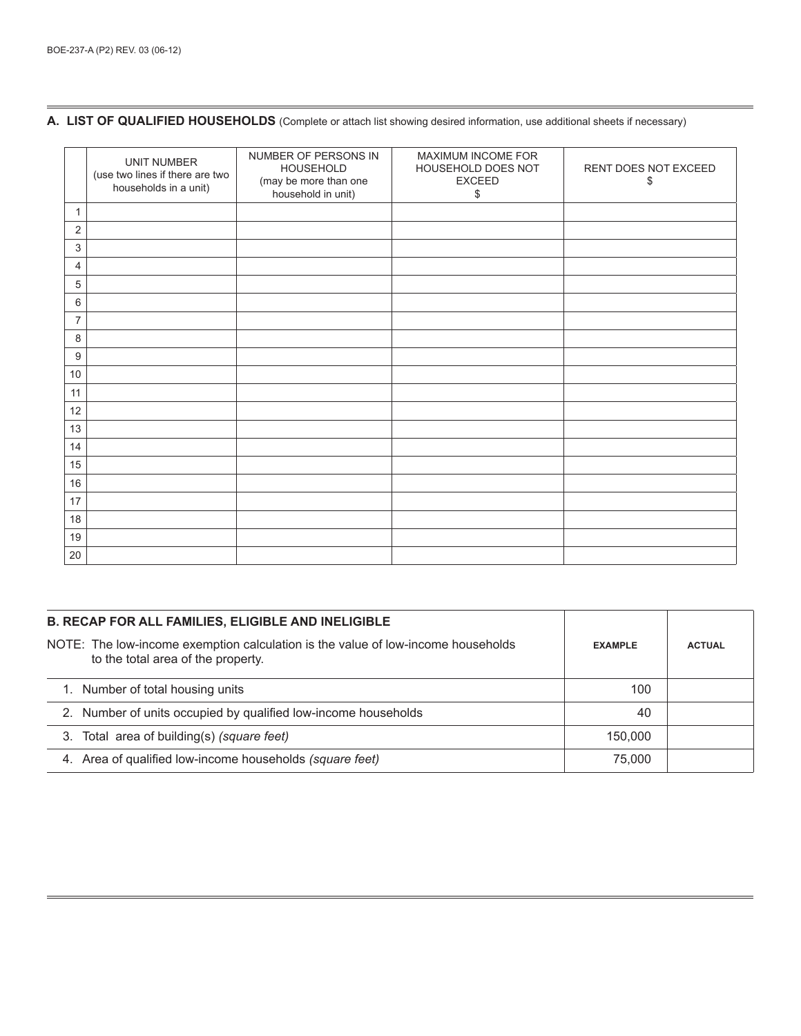### **A. LIST OF QUALIFIED HOUSEHOLDS** (Complete or attach list showing desired information, use additional sheets if necessary)

|                         | UNIT NUMBER<br>(use two lines if there are two<br>households in a unit) | NUMBER OF PERSONS IN<br><b>HOUSEHOLD</b><br>(may be more than one<br>household in unit) | MAXIMUM INCOME FOR<br>HOUSEHOLD DOES NOT<br><b>EXCEED</b><br>\$ | RENT DOES NOT EXCEED<br>\$ |
|-------------------------|-------------------------------------------------------------------------|-----------------------------------------------------------------------------------------|-----------------------------------------------------------------|----------------------------|
| 1                       |                                                                         |                                                                                         |                                                                 |                            |
| $\overline{\mathbf{c}}$ |                                                                         |                                                                                         |                                                                 |                            |
| 3                       |                                                                         |                                                                                         |                                                                 |                            |
| 4                       |                                                                         |                                                                                         |                                                                 |                            |
| 5                       |                                                                         |                                                                                         |                                                                 |                            |
| 6                       |                                                                         |                                                                                         |                                                                 |                            |
| 7                       |                                                                         |                                                                                         |                                                                 |                            |
| 8                       |                                                                         |                                                                                         |                                                                 |                            |
| 9                       |                                                                         |                                                                                         |                                                                 |                            |
| 10                      |                                                                         |                                                                                         |                                                                 |                            |
| 11                      |                                                                         |                                                                                         |                                                                 |                            |
| 12                      |                                                                         |                                                                                         |                                                                 |                            |
| 13                      |                                                                         |                                                                                         |                                                                 |                            |
| 14                      |                                                                         |                                                                                         |                                                                 |                            |
| 15                      |                                                                         |                                                                                         |                                                                 |                            |
| 16                      |                                                                         |                                                                                         |                                                                 |                            |
| 17                      |                                                                         |                                                                                         |                                                                 |                            |
| 18                      |                                                                         |                                                                                         |                                                                 |                            |
| 19                      |                                                                         |                                                                                         |                                                                 |                            |
| 20                      |                                                                         |                                                                                         |                                                                 |                            |

| <b>B. RECAP FOR ALL FAMILIES, ELIGIBLE AND INELIGIBLE</b>                                                              |                |               |
|------------------------------------------------------------------------------------------------------------------------|----------------|---------------|
| NOTE: The low-income exemption calculation is the value of low-income households<br>to the total area of the property. | <b>EXAMPLE</b> | <b>ACTUAL</b> |
| 1. Number of total housing units                                                                                       | 100            |               |
| 2. Number of units occupied by qualified low-income households                                                         | 40             |               |
| 3. Total area of building(s) (square feet)                                                                             | 150,000        |               |
| 4. Area of qualified low-income households (square feet)                                                               | 75.000         |               |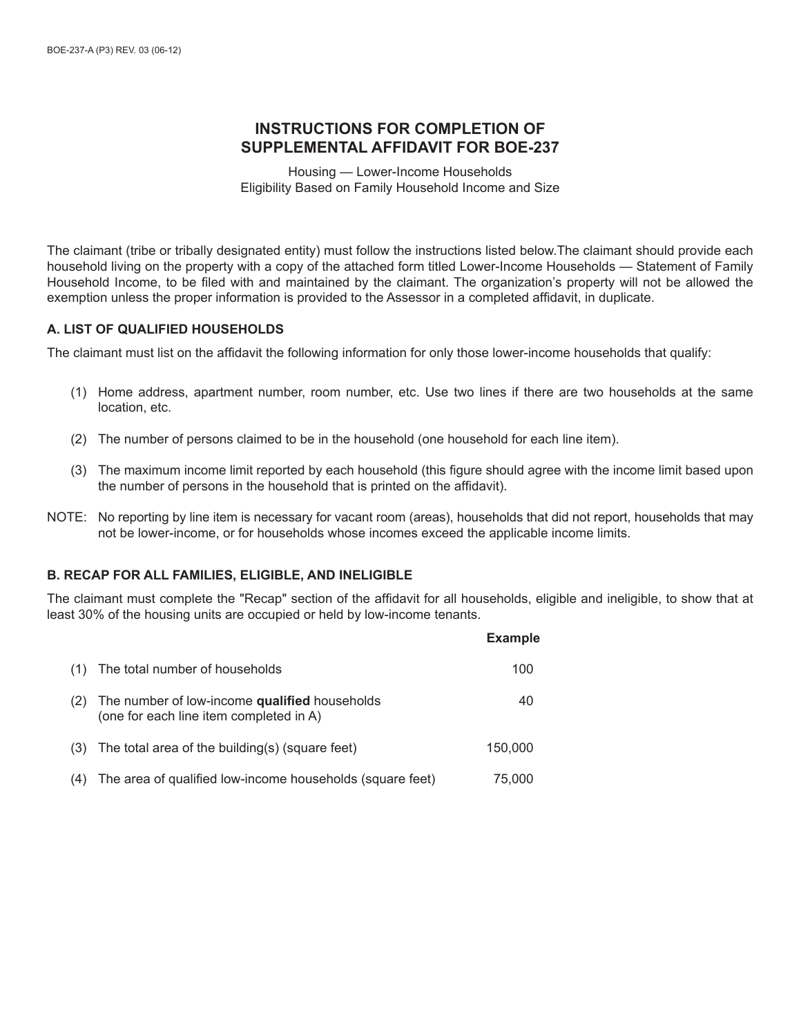# **INSTRUCTIONS FOR COMPLETION OF SUPPLEMENTAL AFFIDAVIT FOR BOE-237**

Housing — Lower-Income Households Eligibility Based on Family Household Income and Size

The claimant (tribe or tribally designated entity) must follow the instructions listed below.The claimant should provide each household living on the property with a copy of the attached form titled Lower-Income Households — Statement of Family Household Income, to be filed with and maintained by the claimant. The organization's property will not be allowed the exemption unless the proper information is provided to the Assessor in a completed affidavit, in duplicate.

## **A. LIST OF QUALIFIED HOUSEHOLDS**

The claimant must list on the affidavit the following information for only those lower-income households that qualify:

- (1) Home address, apartment number, room number, etc. Use two lines if there are two households at the same location, etc.
- (2) The number of persons claimed to be in the household (one household for each line item).
- (3) The maximum income limit reported by each household (this figure should agree with the income limit based upon the number of persons in the household that is printed on the affidavit).
- NOTE: No reporting by line item is necessary for vacant room (areas), households that did not report, households that may not be lower-income, or for households whose incomes exceed the applicable income limits.

# **B. RECAP FOR ALL FAMILIES, ELIGIBLE, AND INELIGIBLE**

The claimant must complete the "Recap" section of the affidavit for all households, eligible and ineligible, to show that at least 30% of the housing units are occupied or held by low-income tenants.

|     |                                                                                          | <b>Example</b> |
|-----|------------------------------------------------------------------------------------------|----------------|
| (1) | The total number of households                                                           | 100            |
| (2) | The number of low-income qualified households<br>(one for each line item completed in A) | 40             |
|     | $(3)$ The total area of the building(s) (square feet)                                    | 150,000        |
| (4) | The area of qualified low-income households (square feet)                                | 75,000         |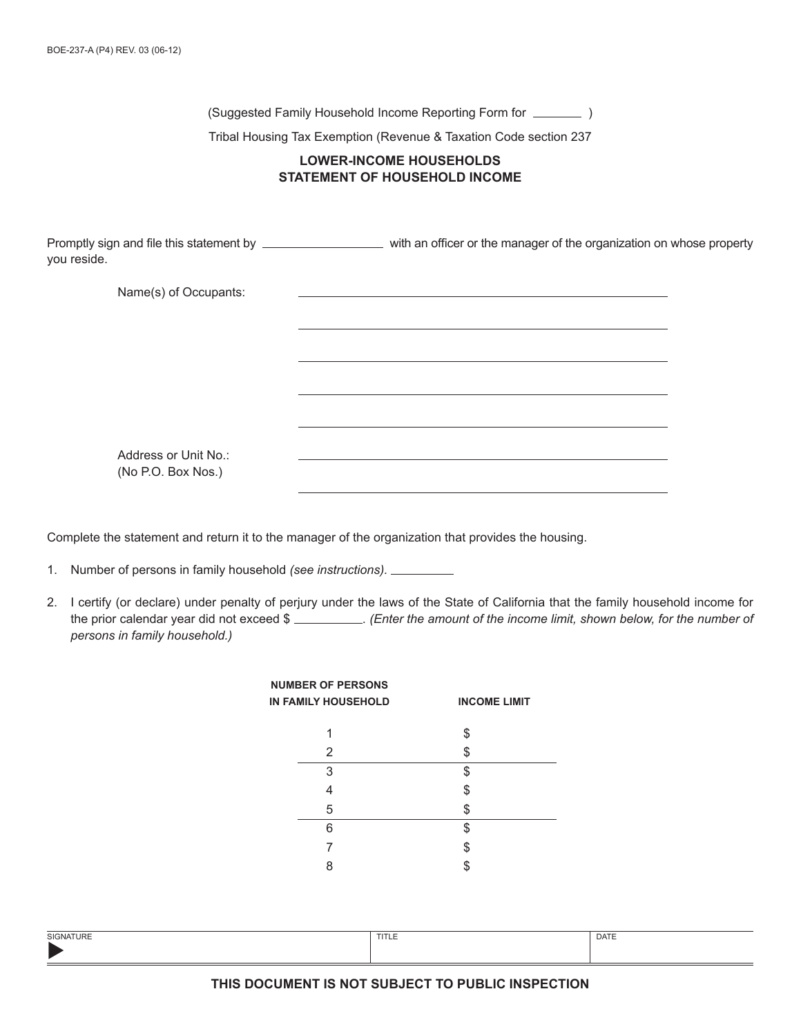(Suggested Family Household Income Reporting Form for  $\sqrt{ }$ )

Tribal Housing Tax Exemption (Revenue & Taxation Code section 237

# **LOWER-INCOME HOUSEHOLDS STATEMENT OF HOUSEHOLD INCOME**

Promptly sign and file this statement by with an officer or the manager of the organization on whose property you reside.

Name(s) of Occupants:

Address or Unit No.: (No P.O. Box Nos.)

Complete the statement and return it to the manager of the organization that provides the housing.

- 1. Number of persons in family household *(see instructions).*
- 2. I certify (or declare) under penalty of perjury under the laws of the State of California that the family household income for the prior calendar year did not exceed \$ . *(Enter the amount of the income limit, shown below, for the number of persons in family household.)*

| <b>NUMBER OF PERSONS</b><br><b>IN FAMILY HOUSEHOLD</b> | <b>INCOME LIMIT</b> |
|--------------------------------------------------------|---------------------|
|                                                        | \$                  |
| 2                                                      | S                   |
| 3                                                      | \$                  |
| 4                                                      | \$                  |
| 5                                                      | \$                  |
| 6                                                      | \$                  |
|                                                        | \$                  |
|                                                        |                     |

| <b>SIGNATURE</b> | TITLE | <b>DATE</b> |
|------------------|-------|-------------|
|                  |       |             |
|                  |       |             |

### **THIS DOCUMENT IS NOT SUBJECT TO PUBLIC INSPECTION**